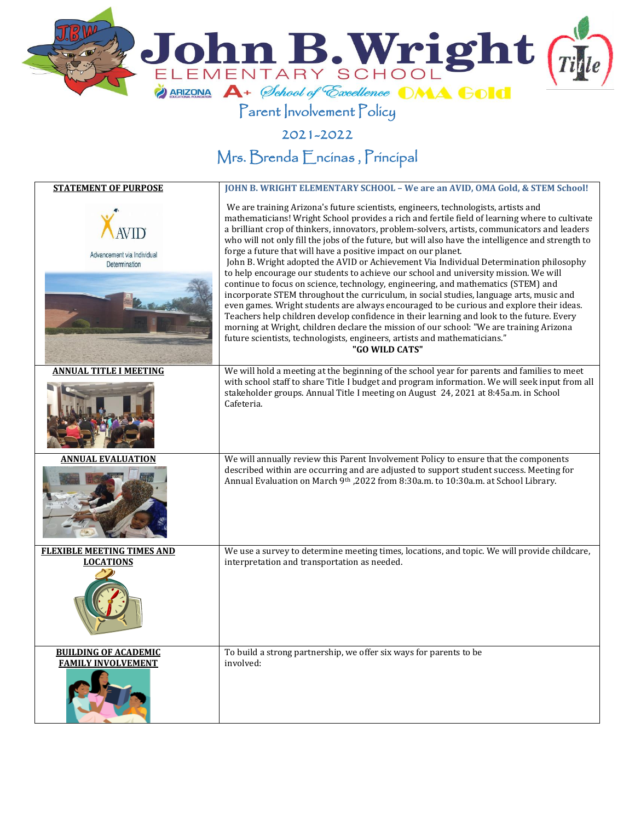

## Parent Involvement Policy

2021-2022

Mrs. Brenda Encinas , Principal

| <b>STATEMENT OF PURPOSE</b>                           | JOHN B. WRIGHT ELEMENTARY SCHOOL - We are an AVID, OMA Gold, & STEM School!                                                                                                                                                                                                                                                                                                                                                                                                                                                                                                                                                                                                                                                                                                                                                                                                                                                                                                                                                                                                                                                                                                                                        |
|-------------------------------------------------------|--------------------------------------------------------------------------------------------------------------------------------------------------------------------------------------------------------------------------------------------------------------------------------------------------------------------------------------------------------------------------------------------------------------------------------------------------------------------------------------------------------------------------------------------------------------------------------------------------------------------------------------------------------------------------------------------------------------------------------------------------------------------------------------------------------------------------------------------------------------------------------------------------------------------------------------------------------------------------------------------------------------------------------------------------------------------------------------------------------------------------------------------------------------------------------------------------------------------|
| Advancement via Individual<br>Determination           | We are training Arizona's future scientists, engineers, technologists, artists and<br>mathematicians! Wright School provides a rich and fertile field of learning where to cultivate<br>a brilliant crop of thinkers, innovators, problem-solvers, artists, communicators and leaders<br>who will not only fill the jobs of the future, but will also have the intelligence and strength to<br>forge a future that will have a positive impact on our planet.<br>John B. Wright adopted the AVID or Achievement Via Individual Determination philosophy<br>to help encourage our students to achieve our school and university mission. We will<br>continue to focus on science, technology, engineering, and mathematics (STEM) and<br>incorporate STEM throughout the curriculum, in social studies, language arts, music and<br>even games. Wright students are always encouraged to be curious and explore their ideas.<br>Teachers help children develop confidence in their learning and look to the future. Every<br>morning at Wright, children declare the mission of our school: "We are training Arizona<br>future scientists, technologists, engineers, artists and mathematicians."<br>"GO WILD CATS" |
| <b>ANNUAL TITLE I MEETING</b>                         | We will hold a meeting at the beginning of the school year for parents and families to meet                                                                                                                                                                                                                                                                                                                                                                                                                                                                                                                                                                                                                                                                                                                                                                                                                                                                                                                                                                                                                                                                                                                        |
|                                                       | with school staff to share Title I budget and program information. We will seek input from all<br>stakeholder groups. Annual Title I meeting on August 24, 2021 at 8:45a.m. in School<br>Cafeteria.                                                                                                                                                                                                                                                                                                                                                                                                                                                                                                                                                                                                                                                                                                                                                                                                                                                                                                                                                                                                                |
| ANNUAL EVALUATION                                     | We will annually review this Parent Involvement Policy to ensure that the components<br>described within are occurring and are adjusted to support student success. Meeting for<br>Annual Evaluation on March 9th , 2022 from 8:30a.m. to 10:30a.m. at School Library.                                                                                                                                                                                                                                                                                                                                                                                                                                                                                                                                                                                                                                                                                                                                                                                                                                                                                                                                             |
| <b>FLEXIBLE MEETING TIMES AND</b><br><b>LOCATIONS</b> | We use a survey to determine meeting times, locations, and topic. We will provide childcare,<br>interpretation and transportation as needed.                                                                                                                                                                                                                                                                                                                                                                                                                                                                                                                                                                                                                                                                                                                                                                                                                                                                                                                                                                                                                                                                       |
|                                                       |                                                                                                                                                                                                                                                                                                                                                                                                                                                                                                                                                                                                                                                                                                                                                                                                                                                                                                                                                                                                                                                                                                                                                                                                                    |
| <b>BUILDING OF ACADEMIC</b>                           | To build a strong partnership, we offer six ways for parents to be                                                                                                                                                                                                                                                                                                                                                                                                                                                                                                                                                                                                                                                                                                                                                                                                                                                                                                                                                                                                                                                                                                                                                 |
| <b>FAMILY INVOLVEMENT</b>                             | involved:                                                                                                                                                                                                                                                                                                                                                                                                                                                                                                                                                                                                                                                                                                                                                                                                                                                                                                                                                                                                                                                                                                                                                                                                          |